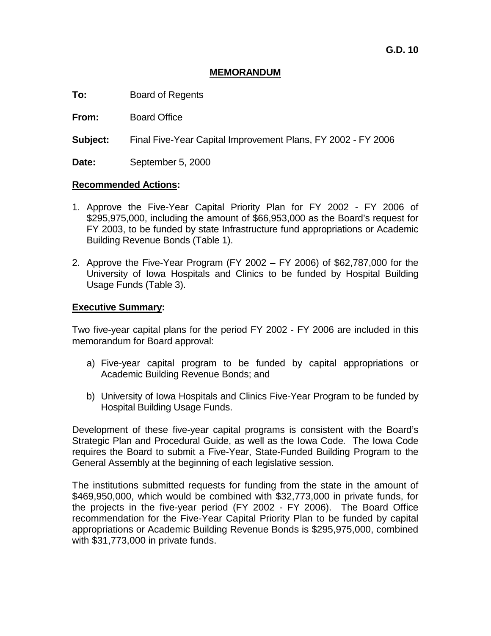## **MEMORANDUM**

**To:** Board of Regents

**From:** Board Office

**Subject:** Final Five-Year Capital Improvement Plans, FY 2002 - FY 2006

Date: September 5, 2000

### **Recommended Actions:**

- 1. Approve the Five-Year Capital Priority Plan for FY 2002 FY 2006 of \$295,975,000, including the amount of \$66,953,000 as the Board's request for FY 2003, to be funded by state Infrastructure fund appropriations or Academic Building Revenue Bonds (Table 1).
- 2. Approve the Five-Year Program (FY 2002 FY 2006) of \$62,787,000 for the University of Iowa Hospitals and Clinics to be funded by Hospital Building Usage Funds (Table 3).

## **Executive Summary:**

Two five-year capital plans for the period FY 2002 - FY 2006 are included in this memorandum for Board approval:

- a) Five-year capital program to be funded by capital appropriations or Academic Building Revenue Bonds; and
- b) University of Iowa Hospitals and Clinics Five-Year Program to be funded by Hospital Building Usage Funds.

Development of these five-year capital programs is consistent with the Board's Strategic Plan and Procedural Guide, as well as the Iowa Code*.* The Iowa Code requires the Board to submit a Five-Year, State-Funded Building Program to the General Assembly at the beginning of each legislative session.

The institutions submitted requests for funding from the state in the amount of \$469,950,000, which would be combined with \$32,773,000 in private funds, for the projects in the five-year period (FY 2002 - FY 2006). The Board Office recommendation for the Five-Year Capital Priority Plan to be funded by capital appropriations or Academic Building Revenue Bonds is \$295,975,000, combined with \$31,773,000 in private funds.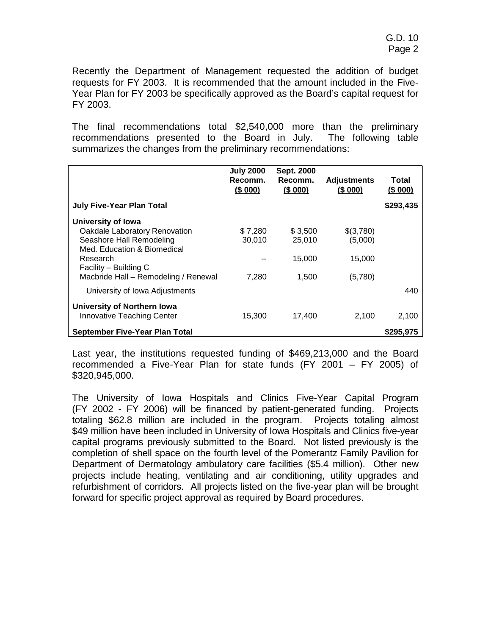Recently the Department of Management requested the addition of budget requests for FY 2003. It is recommended that the amount included in the Five-Year Plan for FY 2003 be specifically approved as the Board's capital request for FY 2003.

The final recommendations total \$2,540,000 more than the preliminary recommendations presented to the Board in July. The following table summarizes the changes from the preliminary recommendations:

|                                                                                                                                                                                             | <b>July 2000</b><br>Recomm.<br>(\$000) | Sept. 2000<br>Recomm.<br>(\$000)     | <b>Adjustments</b><br>(\$000)             | Total<br>(\$ 000) |
|---------------------------------------------------------------------------------------------------------------------------------------------------------------------------------------------|----------------------------------------|--------------------------------------|-------------------------------------------|-------------------|
| <b>July Five-Year Plan Total</b>                                                                                                                                                            |                                        |                                      |                                           | \$293,435         |
| University of Iowa<br>Oakdale Laboratory Renovation<br>Seashore Hall Remodeling<br>Med. Education & Biomedical<br>Research<br>Facility - Building C<br>Macbride Hall - Remodeling / Renewal | \$7,280<br>30,010<br>7,280             | \$3,500<br>25,010<br>15,000<br>1,500 | \$(3,780)<br>(5,000)<br>15,000<br>(5,780) |                   |
| University of Iowa Adjustments                                                                                                                                                              |                                        |                                      |                                           | 440               |
| <b>University of Northern Iowa</b><br>Innovative Teaching Center                                                                                                                            | 15,300                                 | 17,400                               | 2,100                                     | 2,100             |
| September Five-Year Plan Total                                                                                                                                                              |                                        |                                      |                                           | \$295.975         |

Last year, the institutions requested funding of \$469,213,000 and the Board recommended a Five-Year Plan for state funds (FY 2001 – FY 2005) of \$320,945,000.

The University of Iowa Hospitals and Clinics Five-Year Capital Program (FY 2002 - FY 2006) will be financed by patient-generated funding. Projects totaling \$62.8 million are included in the program. Projects totaling almost \$49 million have been included in University of Iowa Hospitals and Clinics five-year capital programs previously submitted to the Board. Not listed previously is the completion of shell space on the fourth level of the Pomerantz Family Pavilion for Department of Dermatology ambulatory care facilities (\$5.4 million). Other new projects include heating, ventilating and air conditioning, utility upgrades and refurbishment of corridors. All projects listed on the five-year plan will be brought forward for specific project approval as required by Board procedures.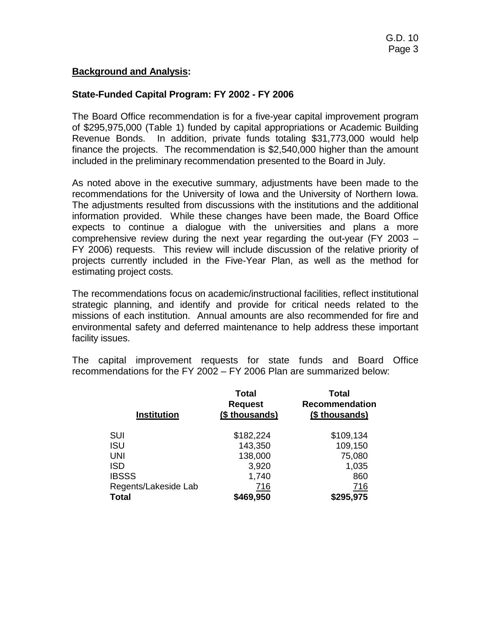## **Background and Analysis:**

# **State-Funded Capital Program: FY 2002 - FY 2006**

The Board Office recommendation is for a five-year capital improvement program of \$295,975,000 (Table 1) funded by capital appropriations or Academic Building Revenue Bonds. In addition, private funds totaling \$31,773,000 would help finance the projects. The recommendation is \$2,540,000 higher than the amount included in the preliminary recommendation presented to the Board in July.

As noted above in the executive summary, adjustments have been made to the recommendations for the University of Iowa and the University of Northern Iowa. The adjustments resulted from discussions with the institutions and the additional information provided. While these changes have been made, the Board Office expects to continue a dialogue with the universities and plans a more comprehensive review during the next year regarding the out-year (FY 2003 – FY 2006) requests. This review will include discussion of the relative priority of projects currently included in the Five-Year Plan, as well as the method for estimating project costs.

The recommendations focus on academic/instructional facilities, reflect institutional strategic planning, and identify and provide for critical needs related to the missions of each institution. Annual amounts are also recommended for fire and environmental safety and deferred maintenance to help address these important facility issues.

The capital improvement requests for state funds and Board Office recommendations for the FY 2002 – FY 2006 Plan are summarized below:

| <b>Institution</b>   | Total<br><b>Request</b><br>(\$ thousands) | <b>Total</b><br><b>Recommendation</b><br>(\$ thousands) |
|----------------------|-------------------------------------------|---------------------------------------------------------|
| <b>SUI</b>           | \$182,224                                 | \$109,134                                               |
| <b>ISU</b>           | 143,350                                   | 109,150                                                 |
| <b>UNI</b>           | 138,000                                   | 75,080                                                  |
| <b>ISD</b>           | 3,920                                     | 1,035                                                   |
| <b>IBSSS</b>         | 1,740                                     | 860                                                     |
| Regents/Lakeside Lab | 716                                       | 716                                                     |
| <b>Total</b>         | \$469,950                                 | \$295,975                                               |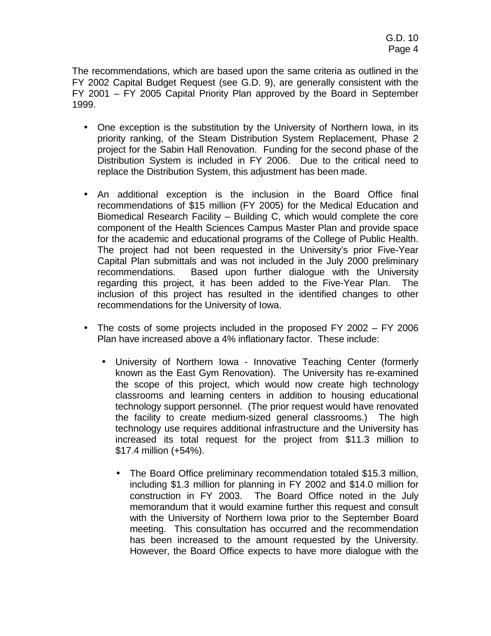The recommendations, which are based upon the same criteria as outlined in the FY 2002 Capital Budget Request (see G.D. 9), are generally consistent with the FY 2001 – FY 2005 Capital Priority Plan approved by the Board in September 1999.

- One exception is the substitution by the University of Northern Iowa, in its priority ranking, of the Steam Distribution System Replacement, Phase 2 project for the Sabin Hall Renovation. Funding for the second phase of the Distribution System is included in FY 2006. Due to the critical need to replace the Distribution System, this adjustment has been made.
- An additional exception is the inclusion in the Board Office final recommendations of \$15 million (FY 2005) for the Medical Education and Biomedical Research Facility – Building C, which would complete the core component of the Health Sciences Campus Master Plan and provide space for the academic and educational programs of the College of Public Health. The project had not been requested in the University's prior Five-Year Capital Plan submittals and was not included in the July 2000 preliminary recommendations. Based upon further dialogue with the University regarding this project, it has been added to the Five-Year Plan. The inclusion of this project has resulted in the identified changes to other recommendations for the University of Iowa.
- The costs of some projects included in the proposed FY 2002 FY 2006 Plan have increased above a 4% inflationary factor. These include:
	- University of Northern Iowa Innovative Teaching Center (formerly known as the East Gym Renovation). The University has re-examined the scope of this project, which would now create high technology classrooms and learning centers in addition to housing educational technology support personnel. (The prior request would have renovated the facility to create medium-sized general classrooms.) The high technology use requires additional infrastructure and the University has increased its total request for the project from \$11.3 million to \$17.4 million (+54%).
		- The Board Office preliminary recommendation totaled \$15.3 million, including \$1.3 million for planning in FY 2002 and \$14.0 million for construction in FY 2003. The Board Office noted in the July memorandum that it would examine further this request and consult with the University of Northern Iowa prior to the September Board meeting. This consultation has occurred and the recommendation has been increased to the amount requested by the University. However, the Board Office expects to have more dialogue with the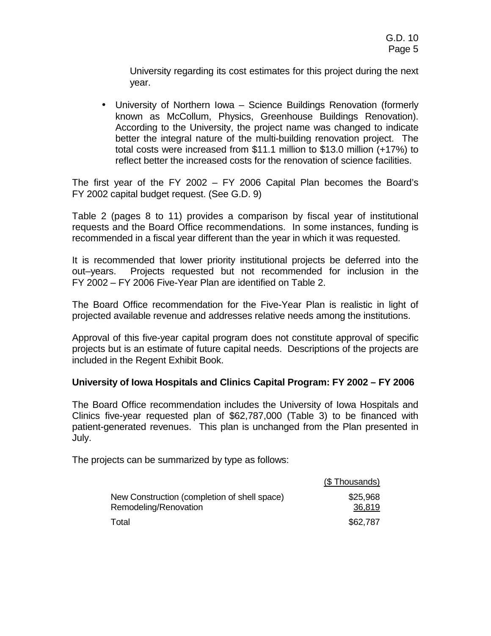University regarding its cost estimates for this project during the next year.

• University of Northern Iowa – Science Buildings Renovation (formerly known as McCollum, Physics, Greenhouse Buildings Renovation). According to the University, the project name was changed to indicate better the integral nature of the multi-building renovation project. The total costs were increased from \$11.1 million to \$13.0 million (+17%) to reflect better the increased costs for the renovation of science facilities.

The first year of the FY 2002 – FY 2006 Capital Plan becomes the Board's FY 2002 capital budget request. (See G.D. 9)

Table 2 (pages 8 to 11) provides a comparison by fiscal year of institutional requests and the Board Office recommendations. In some instances, funding is recommended in a fiscal year different than the year in which it was requested.

It is recommended that lower priority institutional projects be deferred into the out–years. Projects requested but not recommended for inclusion in the FY 2002 – FY 2006 Five-Year Plan are identified on Table 2.

The Board Office recommendation for the Five-Year Plan is realistic in light of projected available revenue and addresses relative needs among the institutions.

Approval of this five-year capital program does not constitute approval of specific projects but is an estimate of future capital needs. Descriptions of the projects are included in the Regent Exhibit Book.

# **University of Iowa Hospitals and Clinics Capital Program: FY 2002 – FY 2006**

The Board Office recommendation includes the University of Iowa Hospitals and Clinics five-year requested plan of \$62,787,000 (Table 3) to be financed with patient-generated revenues. This plan is unchanged from the Plan presented in July.

The projects can be summarized by type as follows:

|                                              | (\$Thousands) |
|----------------------------------------------|---------------|
| New Construction (completion of shell space) | \$25,968      |
| Remodeling/Renovation                        | 36,819        |
| Total                                        | \$62,787      |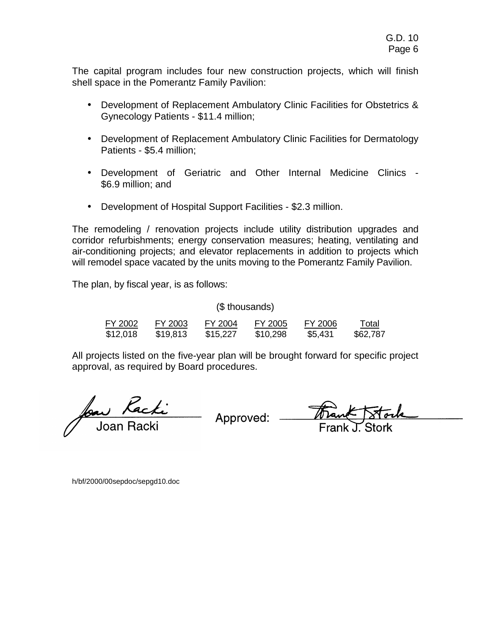The capital program includes four new construction projects, which will finish shell space in the Pomerantz Family Pavilion:

- Development of Replacement Ambulatory Clinic Facilities for Obstetrics & Gynecology Patients - \$11.4 million;
- Development of Replacement Ambulatory Clinic Facilities for Dermatology Patients - \$5.4 million;
- Development of Geriatric and Other Internal Medicine Clinics \$6.9 million; and
- Development of Hospital Support Facilities \$2.3 million.

The remodeling / renovation projects include utility distribution upgrades and corridor refurbishments; energy conservation measures; heating, ventilating and air-conditioning projects; and elevator replacements in addition to projects which will remodel space vacated by the units moving to the Pomerantz Family Pavilion.

The plan, by fiscal year, is as follows:

(\$ thousands)

| FY 2002  | FY 2003  | FY 2004  | FY 2005  | FY 2006 | Total    |
|----------|----------|----------|----------|---------|----------|
| \$12,018 | \$19,813 | \$15,227 | \$10,298 | \$5,431 | \$62,787 |

All projects listed on the five-year plan will be brought forward for specific project approval, as required by Board procedures.

aw *Racki*<br>Joan Racki Approved: <del>Ma</del>

h/bf/2000/00sepdoc/sepgd10.doc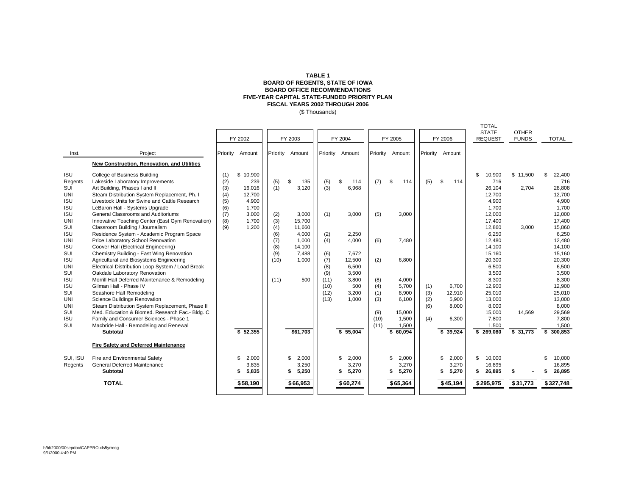### **TABLE 1 BOARD OF REGENTS, STATE OF IOWA BOARD OFFICE RECOMMENDATIONS FIVE-YEAR CAPITAL STATE-FUNDED PRIORITY PLAN FISCAL YEARS 2002 THROUGH 2006**

(\$ Thousands)

|            |                                                  |          |             |          |             |          |             |          |             |          |             | <b>TOTAL</b>                   |                              |               |
|------------|--------------------------------------------------|----------|-------------|----------|-------------|----------|-------------|----------|-------------|----------|-------------|--------------------------------|------------------------------|---------------|
|            |                                                  |          | FY 2002     |          | FY 2003     |          | FY 2004     |          | FY 2005     |          | FY 2006     | <b>STATE</b><br><b>REQUEST</b> | <b>OTHER</b><br><b>FUNDS</b> | <b>TOTAL</b>  |
| Inst.      | Project                                          | Priority | Amount      | Priority | Amount      | Priority | Amount      | Priority | Amount      | Priority | Amount      |                                |                              |               |
|            | New Construction, Renovation, and Utilities      |          |             |          |             |          |             |          |             |          |             |                                |                              |               |
| <b>ISU</b> | College of Business Building                     | (1)      | \$10.900    |          |             |          |             |          |             |          |             | \$.<br>10.900                  | \$11.500                     | 22,400<br>.ፍ  |
| Regents    | Lakeside Laboratory Improvements                 | (2)      | 239         | (5)      | \$<br>135   | (5)      | \$<br>114   | (7)      | \$<br>114   | (5)      | \$<br>114   | 716                            |                              | 716           |
| SUI        | Art Building, Phases I and II                    | (3)      | 16.016      | (1)      | 3.120       | (3)      | 6,968       |          |             |          |             | 26,104                         | 2,704                        | 28,808        |
| <b>UNI</b> | Steam Distribution System Replacement, Ph. I     | (4)      | 12,700      |          |             |          |             |          |             |          |             | 12,700                         |                              | 12,700        |
| <b>ISU</b> | Livestock Units for Swine and Cattle Research    | (5)      | 4.900       |          |             |          |             |          |             |          |             | 4,900                          |                              | 4,900         |
| <b>ISU</b> | LeBaron Hall - Systems Upgrade                   | (6)      | 1.700       |          |             |          |             |          |             |          |             | 1.700                          |                              | 1.700         |
| <b>ISU</b> | General Classrooms and Auditoriums               | (7)      | 3,000       | (2)      | 3,000       | (1)      | 3,000       | (5)      | 3,000       |          |             | 12,000                         |                              | 12,000        |
| <b>UNI</b> | Innovative Teaching Center (East Gym Renovation) | (8)      | 1.700       | (3)      | 15,700      |          |             |          |             |          |             | 17,400                         |                              | 17,400        |
| SUI        | Classroom Building / Journalism                  | (9)      | 1,200       | (4)      | 11,660      |          |             |          |             |          |             | 12,860                         | 3,000                        | 15,860        |
| <b>ISU</b> | Residence System - Academic Program Space        |          |             | (6)      | 4,000       | (2)      | 2.250       |          |             |          |             | 6,250                          |                              | 6,250         |
| <b>UNI</b> | Price Laboratory School Renovation               |          |             | (7)      | 1,000       | (4)      | 4,000       | (6)      | 7.480       |          |             | 12,480                         |                              | 12,480        |
| <b>ISU</b> | Coover Hall (Electrical Engineering)             |          |             | (8)      | 14,100      |          |             |          |             |          |             | 14,100                         |                              | 14,100        |
| SUI        | Chemistry Building - East Wing Renovation        |          |             | (9)      | 7.488       | (6)      | 7.672       |          |             |          |             | 15,160                         |                              | 15,160        |
| <b>ISU</b> | Agricultural and Biosystems Engineering          |          |             | (10)     | 1.000       | (7)      | 12,500      | (2)      | 6,800       |          |             | 20,300                         |                              | 20,300        |
| <b>UNI</b> | Electrical Distribution Loop System / Load Break |          |             |          |             | (8)      | 6.500       |          |             |          |             | 6,500                          |                              | 6,500         |
| SUI        | Oakdale Laboratory Renovation                    |          |             |          |             | (9)      | 3.500       |          |             |          |             | 3,500                          |                              | 3,500         |
| <b>ISU</b> | Morrill Hall Deferred Maintenance & Remodeling   |          |             | (11)     | 500         | (11)     | 3.800       | (8)      | 4,000       |          |             | 8,300                          |                              | 8,300         |
| <b>ISU</b> | Gilman Hall - Phase IV                           |          |             |          |             | (10)     | 500         | (4)      | 5.700       | (1)      | 6.700       | 12,900                         |                              | 12,900        |
| SUI        | Seashore Hall Remodeling                         |          |             |          |             | (12)     | 3.200       | (1)      | 8,900       | (3)      | 12,910      | 25,010                         |                              | 25,010        |
| <b>UNI</b> | Science Buildings Renovation                     |          |             |          |             | (13)     | 1.000       | (3)      | 6.100       | (2)      | 5.900       | 13,000                         |                              | 13,000        |
| <b>UNI</b> | Steam Distribution System Replacement, Phase II  |          |             |          |             |          |             |          |             | (6)      | 8.000       | 8,000                          |                              | 8,000         |
| SUI        | Med. Education & Biomed. Research Fac.- Bldg. C  |          |             |          |             |          |             | (9)      | 15.000      |          |             | 15,000                         | 14.569                       | 29,569        |
| <b>ISU</b> | Family and Consumer Sciences - Phase 1           |          |             |          |             |          |             | (10)     | 1,500       | (4)      | 6,300       | 7.800                          |                              | 7,800         |
| SUI        | Macbride Hall - Remodeling and Renewal           |          |             |          |             |          |             | (11)     | 1,500       |          |             | 1,500                          |                              | 1.500         |
|            | <b>Subtotal</b>                                  |          | \$52,355    |          | \$61,703    |          | \$55,004    |          | \$60.094    |          | \$39,924    | \$ 269,080                     | \$31,773                     | 300.853<br>\$ |
|            |                                                  |          |             |          |             |          |             |          |             |          |             |                                |                              |               |
|            | Fire Safety and Deferred Maintenance             |          |             |          |             |          |             |          |             |          |             |                                |                              |               |
| SUI, ISU   | Fire and Environmental Safety                    |          | \$<br>2,000 |          | 2,000<br>\$ |          | 2,000<br>\$ |          | 2,000<br>\$ |          | \$<br>2,000 | 10,000<br>\$                   |                              | 10,000        |
| Regents    | <b>General Deferred Maintenance</b>              |          | 3,835       |          | 3,250       |          | 3,270       |          | 3,270       |          | 3,270       | 16,895                         |                              | 16,895        |
|            | Subtotal                                         |          | \$<br>5.835 |          | 5.250<br>\$ |          | s.<br>5.270 |          | \$<br>5.270 |          | 5,270<br>\$ | \$<br>26.895                   | \$                           | 26.895<br>\$  |
|            | <b>TOTAL</b>                                     |          | \$58,190    |          | \$66,953    |          | \$60,274    |          | \$65,364    |          | \$45,194    | \$295,975                      | \$31,773                     | \$327,748     |
|            |                                                  |          |             |          |             |          |             |          |             |          |             |                                |                              |               |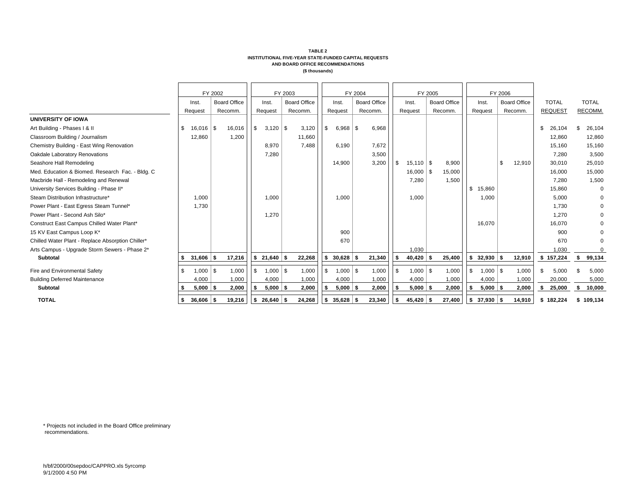|                                                   |    |             | FY 2002 |                     |          |                       | FY 2003 |                     |     |             | FY 2004 |                     | FY 2005             |                     |                   | FY 2006 |                     |    |                |               |
|---------------------------------------------------|----|-------------|---------|---------------------|----------|-----------------------|---------|---------------------|-----|-------------|---------|---------------------|---------------------|---------------------|-------------------|---------|---------------------|----|----------------|---------------|
|                                                   |    | Inst.       |         | <b>Board Office</b> |          | Inst.                 |         | <b>Board Office</b> |     | Inst.       |         | <b>Board Office</b> | Inst.               | <b>Board Office</b> | Inst.             |         | <b>Board Office</b> |    | <b>TOTAL</b>   | <b>TOTAL</b>  |
|                                                   |    | Request     |         | Recomm.             |          | Request               |         | Recomm.             |     | Request     |         | Recomm.             | Request             | Recomm.             | Request           |         | Recomm.             |    | <b>REQUEST</b> | <b>RECOMM</b> |
| <b>UNIVERSITY OF IOWA</b>                         |    |             |         |                     |          |                       |         |                     |     |             |         |                     |                     |                     |                   |         |                     |    |                |               |
| Art Building - Phases I & II                      | \$ | $16,016$ \$ |         | 16,016              | l \$     |                       |         | 3,120               | -\$ | $6,968$ \$  |         | 6,968               |                     |                     |                   |         |                     | -S | 26,104         | 26,104        |
| Classroom Building / Journalism                   |    | 12,860      |         | 1,200               |          |                       |         | 11,660              |     |             |         |                     |                     |                     |                   |         |                     |    | 12.860         | 12,860        |
| Chemistry Building - East Wing Renovation         |    |             |         |                     |          | 8,970                 |         | 7,488               |     | 6,190       |         | 7,672               |                     |                     |                   |         |                     |    | 15,160         | 15,160        |
| Oakdale Laboratory Renovations                    |    |             |         |                     |          | 7,280                 |         |                     |     |             |         | 3,500               |                     |                     |                   |         |                     |    | 7.280          | 3,500         |
| Seashore Hall Remodeling                          |    |             |         |                     |          |                       |         |                     |     | 14,900      |         | 3,200               | \$<br>$15.110$ \ \$ | 8,900               |                   | \$      | 12,910              |    | 30.010         | 25,010        |
| Med. Education & Biomed. Research Fac. - Bldg. C  |    |             |         |                     |          |                       |         |                     |     |             |         |                     | $16,000$ \\$        | 15,000              |                   |         |                     |    | 16,000         | 15,000        |
| Macbride Hall - Remodeling and Renewal            |    |             |         |                     |          |                       |         |                     |     |             |         |                     | 7,280               | 1,500               |                   |         |                     |    | 7.280          | 1,500         |
| University Services Building - Phase II*          |    |             |         |                     |          |                       |         |                     |     |             |         |                     |                     |                     | \$<br>15,860      |         |                     |    | 15,860         |               |
| Steam Distribution Infrastructure*                |    | 1,000       |         |                     |          | 1,000                 |         |                     |     | 1,000       |         |                     | 1,000               |                     | 1,000             |         |                     |    | 5,000          |               |
| Power Plant - East Egress Steam Tunnel*           |    | 1,730       |         |                     |          |                       |         |                     |     |             |         |                     |                     |                     |                   |         |                     |    | 1.730          |               |
| Power Plant - Second Ash Silo*                    |    |             |         |                     |          | 1,270                 |         |                     |     |             |         |                     |                     |                     |                   |         |                     |    | 1,270          |               |
| Construct East Campus Chilled Water Plant*        |    |             |         |                     |          |                       |         |                     |     |             |         |                     |                     |                     | 16,070            |         |                     |    | 16,070         |               |
| 15 KV East Campus Loop K*                         |    |             |         |                     |          |                       |         |                     |     | 900         |         |                     |                     |                     |                   |         |                     |    | 900            |               |
| Chilled Water Plant - Replace Absorption Chiller* |    |             |         |                     |          |                       |         |                     |     | 670         |         |                     |                     |                     |                   |         |                     |    | 670            | $\mathbf 0$   |
| Arts Campus - Upgrade Storm Sewers - Phase 2*     |    |             |         |                     |          |                       |         |                     |     |             |         |                     | 1,030               |                     |                   |         |                     |    | 1,030          |               |
| <b>Subtotal</b>                                   | s. | $31,606$ \$ |         | 17,216              | <b>S</b> | $21,640$ \$           |         | 22,268              | \$  | $30,628$ \$ |         | 21,340              | $40,420$ \$         | 25,400              | \$<br>$32,930$ \$ |         | 12,910              |    | \$157,224      | \$<br>99,134  |
| Fire and Environmental Safety                     |    | $1,000$ \$  |         | 1,000               | l \$     | $1,000$ \$            |         | 1,000               | \$  | $1,000$ \$  |         | 1,000               | \$<br>$1,000$ \$    | 1,000               | \$<br>$1,000$ \$  |         | 1,000               |    | 5,000          | 5,000         |
| <b>Building Deferred Maintenance</b>              |    | 4,000       |         | 1,000               |          | 4,000                 |         | 1,000               |     | 4,000       |         | 1,000               | 4,000               | 1,000               | 4,000             |         | 1,000               |    | 20,000         | 5,000         |
| <b>Subtotal</b>                                   |    | $5,000$ \$  |         | 2,000               |          | $5,000$ \$            |         | 2,000               |     | $5,000$ \$  |         | 2,000               | $5,000$ \$          | 2,000               | $5,000$ \$        |         | 2,000               |    | 25,000         | \$<br>10,000  |
| <b>TOTAL</b>                                      | \$ | 36,606      | ۱S      | 19,216              |          | $\frac{1}{26.640}$ \$ |         | 24,268              |     | \$35,628    |         | 23,340              | \$<br>$45,420$ \$   | 27,400              | $$37,930$ \$      |         | 14,910              |    | \$182.224      | \$109.134     |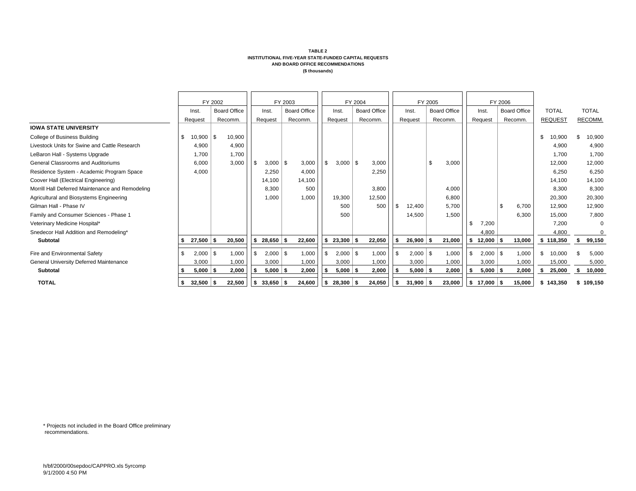|                                                  |                   | FY 2002 |                     |     |                            | FY 2003 |                     |    |              | FY 2004 |                     |             | FY 2005 |                     |              | FY 2006 |                     |      |                |      |              |
|--------------------------------------------------|-------------------|---------|---------------------|-----|----------------------------|---------|---------------------|----|--------------|---------|---------------------|-------------|---------|---------------------|--------------|---------|---------------------|------|----------------|------|--------------|
|                                                  | Inst.             |         | <b>Board Office</b> |     | Inst.                      |         | <b>Board Office</b> |    | Inst.        |         | <b>Board Office</b> | Inst.       |         | <b>Board Office</b> | Inst.        |         | <b>Board Office</b> |      | <b>TOTAL</b>   |      | <b>TOTAL</b> |
|                                                  | Request           |         | Recomm.             |     | Request                    |         | Recomm.             |    | Request      |         | Recomm.             | Request     |         | Recomm.             | Request      |         | Recomm.             |      | <b>REQUEST</b> |      | RECOMM.      |
| <b>IOWA STATE UNIVERSITY</b>                     |                   |         |                     |     |                            |         |                     |    |              |         |                     |             |         |                     |              |         |                     |      |                |      |              |
| College of Business Building                     | \$<br>$10,900$ \$ |         | 10,900              |     |                            |         |                     |    |              |         |                     |             |         |                     |              |         |                     | \$   | 10,900         | \$   | 10,900       |
| Livestock Units for Swine and Cattle Research    | 4,900             |         | 4,900               |     |                            |         |                     |    |              |         |                     |             |         |                     |              |         |                     |      | 4,900          |      | 4,900        |
| LeBaron Hall - Systems Upgrade                   | 1,700             |         | 1,700               |     |                            |         |                     |    |              |         |                     |             |         |                     |              |         |                     |      | 1,700          |      | 1,700        |
| General Classrooms and Auditoriums               | 6,000             |         | 3,000               | \$  | 3,000                      | \$      | 3,000               |    | $3,000$ \ \$ |         | 3,000               |             | \$      | 3,000               |              |         |                     |      | 12,000         |      | 12,000       |
| Residence System - Academic Program Space        | 4,000             |         |                     |     | 2,250                      |         | 4,000               |    |              |         | 2,250               |             |         |                     |              |         |                     |      | 6,250          |      | 6,250        |
| Coover Hall (Electrical Engineering)             |                   |         |                     |     | 14,100                     |         | 14,100              |    |              |         |                     |             |         |                     |              |         |                     |      | 14,100         |      | 14,100       |
| Morrill Hall Deferred Maintenance and Remodeling |                   |         |                     |     | 8,300                      |         | 500                 |    |              |         | 3,800               |             |         | 4,000               |              |         |                     |      | 8,300          |      | 8,300        |
| Agricultural and Biosystems Engineering          |                   |         |                     |     | 1,000                      |         | 1,000               |    | 19,300       |         | 12,500              |             |         | 6,800               |              |         |                     |      | 20,300         |      | 20,300       |
| Gilman Hall - Phase IV                           |                   |         |                     |     |                            |         |                     |    | 500          |         | 500                 | 12,400      |         | 5,700               |              | \$      | 6,700               |      | 12,900         |      | 12,900       |
| Family and Consumer Sciences - Phase 1           |                   |         |                     |     |                            |         |                     |    | 500          |         |                     | 14,500      |         | 1,500               |              |         | 6,300               |      | 15.000         |      | 7,800        |
| Veterinary Medicine Hospital*                    |                   |         |                     |     |                            |         |                     |    |              |         |                     |             |         |                     | \$<br>7,200  |         |                     |      | 7.200          |      |              |
| Snedecor Hall Addition and Remodeling*           |                   |         |                     |     |                            |         |                     |    |              |         |                     |             |         |                     | 4,800        |         |                     |      | 4,800          |      |              |
| <b>Subtotal</b>                                  | $27,500$ \$       |         | 20,500              |     | $28,650$ \$                |         | 22,600              |    | $23,300$ \$  |         | 22,050              | $26,900$ \$ |         | 21,000              | $12,000$ \$  |         | 13,000              |      | \$118,350      |      | 99,150       |
| Fire and Environmental Safety                    | $2,000$ \$        |         | 1,000               | -\$ | $2,000$ \$                 |         | 1,000               |    | $2,000$ \$   |         | 1,000               | $2,000$ \$  |         | 1,000               | \$<br>2,000  | \$.     | 1,000               | \$   | 10,000         |      | 5,000        |
| General University Deferred Maintenance          | 3,000             |         | 1,000               |     | 3,000                      |         | 1,000               |    | 3,000        |         | 1,000               | 3,000       |         | 1,000               | 3,000        |         | 1,000               |      | 15,000         |      | 5,000        |
| <b>Subtotal</b>                                  | $5,000$ \$        |         | 2,000               |     | $5,000$ \$                 |         | 2,000               |    | $5,000$ \$   |         | 2,000               | $5,000$ \$  |         | 2,000               | $5,000$ \$   |         | 2,000               | - 35 | 25,000         | - 56 | 10,000       |
|                                                  |                   |         |                     |     |                            |         |                     |    |              |         |                     |             |         |                     |              |         |                     |      |                |      |              |
| <b>TOTAL</b>                                     | $32,500$ \$       |         | 22,500              |     | $\frac{1}{2}$ \$ 33,650 \$ |         | 24,600              | -S | $28,300$ \$  |         | 24,050              | $31,900$ \$ |         | 23,000              | $$17,000$ \$ |         | 15,000              |      | \$143.350      | s    | 109,150      |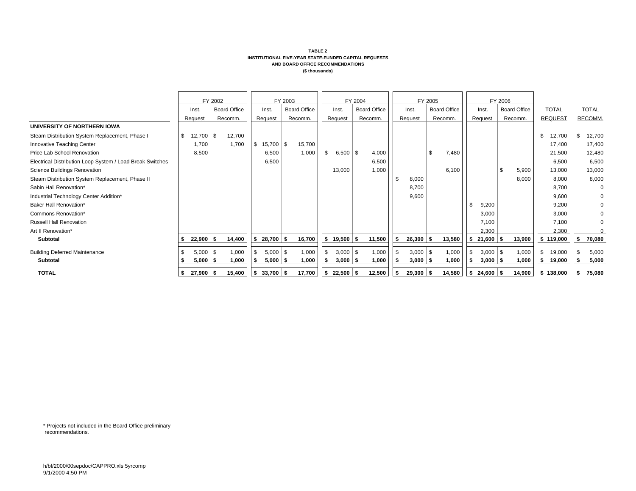|                                                           |      |              | FY 2002 |                     |    |              | FY 2003 |                     |          |                         | FY 2004             |             | FY 2005 |                     |     |                         | FY 2006 |                     |                |    |              |
|-----------------------------------------------------------|------|--------------|---------|---------------------|----|--------------|---------|---------------------|----------|-------------------------|---------------------|-------------|---------|---------------------|-----|-------------------------|---------|---------------------|----------------|----|--------------|
|                                                           |      | Inst.        |         | <b>Board Office</b> |    | Inst.        |         | <b>Board Office</b> |          | Inst.                   | <b>Board Office</b> | Inst.       |         | <b>Board Office</b> |     | Inst.                   |         | <b>Board Office</b> | <b>TOTAL</b>   |    | <b>TOTAL</b> |
|                                                           |      | Request      |         | Recomm.             |    | Request      |         | Recomm.             |          | Request                 | Recomm.             | Request     |         | Recomm.             |     | Request                 |         | Recomm.             | <b>REQUEST</b> |    | RECOMM.      |
| UNIVERSITY OF NORTHERN IOWA                               |      |              |         |                     |    |              |         |                     |          |                         |                     |             |         |                     |     |                         |         |                     |                |    |              |
| Steam Distribution System Replacement, Phase I            | - \$ | 12,700       | \$      | 12,700              |    |              |         |                     |          |                         |                     |             |         |                     |     |                         |         |                     | \$<br>12.700   | \$ | 12,700       |
| Innovative Teaching Center                                |      | 1,700        |         | 1,700               | \$ | $15,700$ \\$ |         | 15,700              |          |                         |                     |             |         |                     |     |                         |         |                     | 17,400         |    | 17,400       |
| Price Lab School Renovation                               |      | 8,500        |         |                     |    | 6,500        |         | 1,000               | l \$     | $6,500$ \$              | 4,000               |             | \$.     | 7,480               |     |                         |         |                     | 21,500         |    | 12,480       |
| Electrical Distribution Loop System / Load Break Switches |      |              |         |                     |    | 6,500        |         |                     |          |                         | 6,500               |             |         |                     |     |                         |         |                     | 6,500          |    | 6,500        |
| Science Buildings Renovation                              |      |              |         |                     |    |              |         |                     |          | 13,000                  | 1,000               |             |         | 6,100               |     |                         | \$      | 5,900               | 13.000         |    | 13,000       |
| Steam Distribution System Replacement, Phase II           |      |              |         |                     |    |              |         |                     |          |                         |                     | 8,000       |         |                     |     |                         |         | 8,000               | 8,000          |    | 8,000        |
| Sabin Hall Renovation*                                    |      |              |         |                     |    |              |         |                     |          |                         |                     | 8,700       |         |                     |     |                         |         |                     | 8,700          |    | $\Omega$     |
| Industrial Technology Center Addition*                    |      |              |         |                     |    |              |         |                     |          |                         |                     | 9,600       |         |                     |     |                         |         |                     | 9,600          |    | 0            |
| Baker Hall Renovation*                                    |      |              |         |                     |    |              |         |                     |          |                         |                     |             |         |                     |     | 9,200                   |         |                     | 9,200          |    | $\Omega$     |
| Commons Renovation*                                       |      |              |         |                     |    |              |         |                     |          |                         |                     |             |         |                     |     | 3,000                   |         |                     | 3,000          |    |              |
| <b>Russell Hall Renovation</b>                            |      |              |         |                     |    |              |         |                     |          |                         |                     |             |         |                     |     | 7,100                   |         |                     | 7,100          |    | $\Omega$     |
| Art II Renovation*                                        |      |              |         |                     |    |              |         |                     |          |                         |                     |             |         |                     |     | 2,300                   |         |                     | 2,300          |    | $\Omega$     |
| <b>Subtotal</b>                                           |      | $22,900$ \$  |         | 14,400              |    | $$28,700$ \$ |         | 16,700              |          | \$19,500   \$           | 11,500              | $26,300$ \$ |         | 13,580              | \$  | $21,600$ \$             |         | 13,900              | \$119,000      | s. | 70,080       |
| <b>Building Deferred Maintenance</b>                      |      | $5,000$ \ \$ |         | 1,000               | -S | $5,000$ \$   |         | 1,000               | <b>S</b> | $3,000$ \$              | 1,000               | $3,000$ \$  |         | 1,000               | -\$ | $3,000$ \ \$            |         | 1,000               | \$<br>19,000   | -S | 5,000        |
| Subtotal                                                  |      | $5,000$ \$   |         | 1,000               |    | $5,000$ \$   |         | 1,000               |          | $3,000$ \$              | 1,000               | $3,000$ \$  |         | 1,000               |     | $3,000$ \$              |         | 1,000               | 19,000<br>s.   | -5 | 5,000        |
| <b>TOTAL</b>                                              |      | 27,900       | - 5     | 15,400              |    | $$33,700$ \$ |         | 17,700              |          | $\frac{1}{2}$ 22,500 \$ | 12,500              | $29,300$ \$ |         | 14,580              |     | $\frac{1}{2}$ 24,600 \$ |         | 14,900              | \$138,000      |    | 75,080       |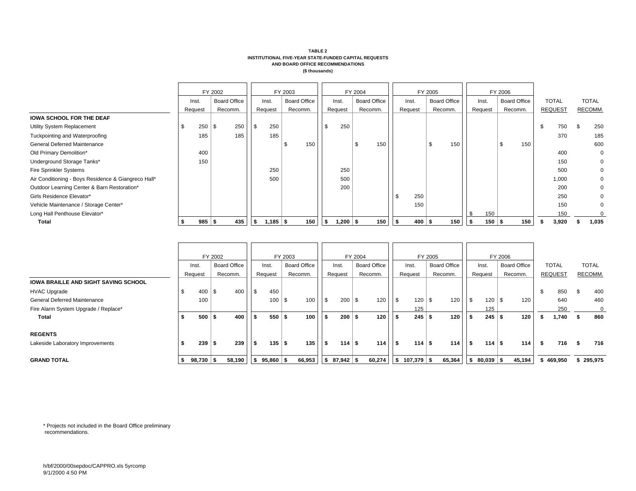|                                                     |          | FY 2002 |                     |          |            | FY 2003 |                     |                  | FY 2004 |                     | FY 2005 |   |                     |     |          | FY 2006 |                     |     |                |     |              |
|-----------------------------------------------------|----------|---------|---------------------|----------|------------|---------|---------------------|------------------|---------|---------------------|---------|---|---------------------|-----|----------|---------|---------------------|-----|----------------|-----|--------------|
|                                                     | Inst.    |         | <b>Board Office</b> |          | Inst.      |         | <b>Board Office</b> | Inst.            |         | <b>Board Office</b> | Inst.   |   | <b>Board Office</b> |     | Inst.    |         | <b>Board Office</b> |     | <b>TOTAL</b>   |     | <b>TOTAL</b> |
|                                                     | Request  |         | Recomm.             |          | Request    |         | Recomm.             | Request          |         | Recomm.             | Request |   | Recomm.             |     | Request  |         | Recomm.             |     | <b>REQUEST</b> |     | RECOMM.      |
| <b>IOWA SCHOOL FOR THE DEAF</b>                     |          |         |                     |          |            |         |                     |                  |         |                     |         |   |                     |     |          |         |                     |     |                |     |              |
| Utility System Replacement                          | 250      | - \$    | 250                 | l \$     | 250        |         |                     | 250              |         |                     |         |   |                     |     |          |         |                     | \$  | 750            | -\$ | 250          |
| Tuckpointing and Waterproofing                      | 185      |         | 185                 |          | 185        |         |                     |                  |         |                     |         |   |                     |     |          |         |                     |     | 370            |     | 185          |
| <b>General Deferred Maintenance</b>                 |          |         |                     |          |            | J.      | 150                 |                  | \$      | 150                 |         |   | 150                 |     |          | S       | 150                 |     |                |     | 600          |
| Old Primary Demolition*                             | 400      |         |                     |          |            |         |                     |                  |         |                     |         |   |                     |     |          |         |                     |     | 400            |     | $\mathbf 0$  |
| Underground Storage Tanks*                          | 150      |         |                     |          |            |         |                     |                  |         |                     |         |   |                     |     |          |         |                     |     | 150            |     | $\mathbf 0$  |
| Fire Sprinkler Systems                              |          |         |                     |          | 250        |         |                     | 250              |         |                     |         |   |                     |     |          |         |                     |     | 500            |     | $\mathbf{0}$ |
| Air Conditioning - Boys Residence & Giangreco Hall* |          |         |                     |          | 500        |         |                     | 500              |         |                     |         |   |                     |     |          |         |                     |     | 1,000          |     | 0            |
| Outdoor Learning Center & Barn Restoration*         |          |         |                     |          |            |         |                     | 200              |         |                     |         |   |                     |     |          |         |                     |     | 200            |     | $\mathbf{0}$ |
| Girls Residence Elevator*                           |          |         |                     |          |            |         |                     |                  |         |                     | 250     |   |                     |     |          |         |                     |     | 250            |     |              |
| Vehicle Maintenance / Storage Center*               |          |         |                     |          |            |         |                     |                  |         |                     | 150     |   |                     |     |          |         |                     |     | 150            |     | $\Omega$     |
| Long Hall Penthouse Elevator*                       |          |         |                     |          |            |         |                     |                  |         |                     |         |   |                     |     | 150      |         |                     |     | 150            |     |              |
| Total                                               | $985$ \$ |         | 435                 | <b>S</b> | $1,185$ \$ |         | 150                 | \$<br>$1,200$ \$ |         | 150                 | 400     | 5 | 150                 | ∣ S | $150$ \$ |         | 150                 | -31 | 3,920          |     | 1,035        |

|                                             |             | FY 2002 |                     |            |             | FY 2003 |                     |      |                            | FY 2004 |                     |                       | FY 2005  |                     |           |                                | FY 2006 |                     |     |                |     |         |
|---------------------------------------------|-------------|---------|---------------------|------------|-------------|---------|---------------------|------|----------------------------|---------|---------------------|-----------------------|----------|---------------------|-----------|--------------------------------|---------|---------------------|-----|----------------|-----|---------|
|                                             | lnst.       |         | <b>Board Office</b> |            | Inst.       |         | <b>Board Office</b> |      | Inst.                      |         | <b>Board Office</b> | Inst.                 |          | <b>Board Office</b> |           | Inst.                          |         | <b>Board Office</b> |     | <b>TOTAL</b>   |     | TOTAL   |
|                                             | Request     |         | Recomm.             |            | Request     |         | Recomm.             |      | Request                    |         | Recomm.             | Request               |          | Recomm.             |           | Request                        |         | Recomm.             |     | <b>REQUEST</b> |     | RECOMM. |
| <b>IOWA BRAILLE AND SIGHT SAVING SCHOOL</b> |             |         |                     |            |             |         |                     |      |                            |         |                     |                       |          |                     |           |                                |         |                     |     |                |     |         |
| <b>HVAC Upgrade</b>                         | 400         | \$      | 400                 | $\sqrt{3}$ | 450         |         |                     |      |                            |         |                     |                       |          |                     |           |                                |         |                     | -\$ | 850            | \$  | 400     |
| <b>General Deferred Maintenance</b>         | 100         |         |                     |            | 100         | \$.     | 100                 | l \$ | $200 \, \text{S}$          |         | 120                 | 120                   | <b>S</b> | 120                 | l \$      |                                |         | 120                 |     | 640            |     | 460     |
| Fire Alarm System Upgrade / Replace*        |             |         |                     |            |             |         |                     |      |                            |         |                     | 125                   |          |                     |           | 125                            |         |                     |     | 250            |     |         |
| Total                                       | 500         | £       | 400                 | \$         | 550         | \$      | 100                 |      | $200$ \$                   |         | 120                 | 245                   | £        | 120                 | - 31      | $245$ \$                       |         | 120                 | -31 | 1,740          | -56 | 860     |
| <b>REGENTS</b>                              |             |         |                     |            |             |         |                     |      |                            |         |                     |                       |          |                     |           |                                |         |                     |     |                |     |         |
| Lakeside Laboratory Improvements            | 239         | د "     | 239                 | l \$       | $135$ \$    |         | 135                 | l S  | $114$ \$                   |         | 114                 | $114$ \ $\frac{1}{3}$ |          | 114                 | <b>IS</b> | $114$ $\overline{\phantom{1}}$ |         | 114                 | -\$ | 716            | \$  | 716     |
| <b>GRAND TOTAL</b>                          | $98,730$ \$ |         | 58,190              | \$         | $95,860$ \$ |         | 66,953              |      | $\frac{1}{2}$ \$ 87,942 \$ |         | 60,274              | $107,379$ \$          |          | 65,364              | l \$      | $80,039$ \$                    |         | 45,194              |     | \$469.950      |     | 295,975 |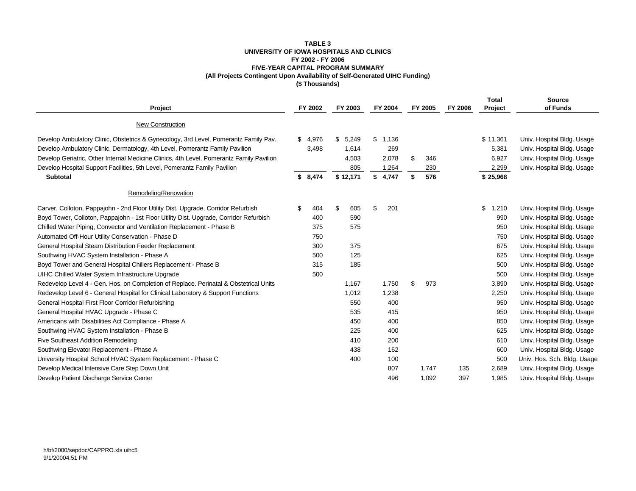### **TABLE 3 UNIVERSITY OF IOWA HOSPITALS AND CLINICS FY 2002 - FY 2006 FIVE-YEAR CAPITAL PROGRAM SUMMARY (All Projects Contingent Upon Availability of Self-Generated UIHC Funding) (\$ Thousands)**

| Project                                                                                  | FY 2002     | FY 2003     | FY 2004     | FY 2005   | FY 2006 | <b>Total</b><br>Project | <b>Source</b><br>of Funds   |
|------------------------------------------------------------------------------------------|-------------|-------------|-------------|-----------|---------|-------------------------|-----------------------------|
| New Construction                                                                         |             |             |             |           |         |                         |                             |
| Develop Ambulatory Clinic, Obstetrics & Gynecology, 3rd Level, Pomerantz Family Pav.     | \$<br>4,976 | \$<br>5,249 | \$<br>1,136 |           |         | \$11,361                | Univ. Hospital Bldg. Usage  |
| Develop Ambulatory Clinic, Dermatology, 4th Level, Pomerantz Family Pavilion             | 3,498       | 1,614       | 269         |           |         | 5,381                   | Univ. Hospital Bldg. Usage  |
| Develop Geriatric, Other Internal Medicine Clinics, 4th Level, Pomerantz Family Pavilion |             | 4,503       | 2,078       | \$<br>346 |         | 6,927                   | Univ. Hospital Bldg. Usage  |
| Develop Hospital Support Facilities, 5th Level, Pomerantz Family Pavilion                |             | 805         | 1,264       | 230       |         | 2,299                   | Univ. Hospital Bldg. Usage  |
| Subtotal                                                                                 | \$8,474     | \$12,171    | \$<br>4,747 | 576<br>\$ |         | \$25,968                |                             |
| Remodeling/Renovation                                                                    |             |             |             |           |         |                         |                             |
| Carver, Colloton, Pappajohn - 2nd Floor Utility Dist. Upgrade, Corridor Refurbish        | \$<br>404   | \$<br>605   | \$<br>201   |           |         | \$<br>1,210             | Univ. Hospital Bldg. Usage  |
| Boyd Tower, Colloton, Pappajohn - 1st Floor Utility Dist. Upgrade, Corridor Refurbish    | 400         | 590         |             |           |         | 990                     | Univ. Hospital Bldg. Usage  |
| Chilled Water Piping, Convector and Ventilation Replacement - Phase B                    | 375         | 575         |             |           |         | 950                     | Univ. Hospital Bldg. Usage  |
| Automated Off-Hour Utility Conservation - Phase D                                        | 750         |             |             |           |         | 750                     | Univ. Hospital Bldg. Usage  |
| General Hospital Steam Distribution Feeder Replacement                                   | 300         | 375         |             |           |         | 675                     | Univ. Hospital Bldg. Usage  |
| Southwing HVAC System Installation - Phase A                                             | 500         | 125         |             |           |         | 625                     | Univ. Hospital Bldg. Usage  |
| Boyd Tower and General Hospital Chillers Replacement - Phase B                           | 315         | 185         |             |           |         | 500                     | Univ. Hospital Bldg. Usage  |
| <b>UIHC Chilled Water System Infrastructure Upgrade</b>                                  | 500         |             |             |           |         | 500                     | Univ. Hospital Bldg. Usage  |
| Redevelop Level 4 - Gen. Hos. on Completion of Replace. Perinatal & Obstetrical Units    |             | 1,167       | 1,750       | \$<br>973 |         | 3,890                   | Univ. Hospital Bldg. Usage  |
| Redevelop Level 6 - General Hospital for Clinical Laboratory & Support Functions         |             | 1,012       | 1,238       |           |         | 2,250                   | Univ. Hospital Bldg. Usage  |
| General Hospital First Floor Corridor Refurbishing                                       |             | 550         | 400         |           |         | 950                     | Univ. Hospital Bldg. Usage  |
| General Hospital HVAC Upgrade - Phase C                                                  |             | 535         | 415         |           |         | 950                     | Univ. Hospital Bldg. Usage  |
| Americans with Disabilities Act Compliance - Phase A                                     |             | 450         | 400         |           |         | 850                     | Univ. Hospital Bldg. Usage  |
| Southwing HVAC System Installation - Phase B                                             |             | 225         | 400         |           |         | 625                     | Univ. Hospital Bldg. Usage  |
| Five Southeast Addition Remodeling                                                       |             | 410         | 200         |           |         | 610                     | Univ. Hospital Bldg. Usage  |
| Southwing Elevator Replacement - Phase A                                                 |             | 438         | 162         |           |         | 600                     | Univ. Hospital Bldg. Usage  |
| University Hospital School HVAC System Replacement - Phase C                             |             | 400         | 100         |           |         | 500                     | Univ. Hos. Sch. Bldg. Usage |
| Develop Medical Intensive Care Step Down Unit                                            |             |             | 807         | 1,747     | 135     | 2,689                   | Univ. Hospital Bldg. Usage  |
| Develop Patient Discharge Service Center                                                 |             |             | 496         | 1,092     | 397     | 1,985                   | Univ. Hospital Bldg. Usage  |